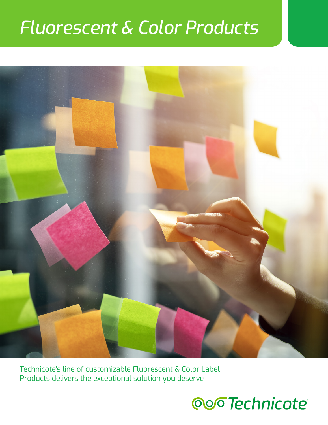## *Fluorescent & Color Products*



Technicote's line of customizable Fluorescent & Color Label Products delivers the exceptional solution you deserve